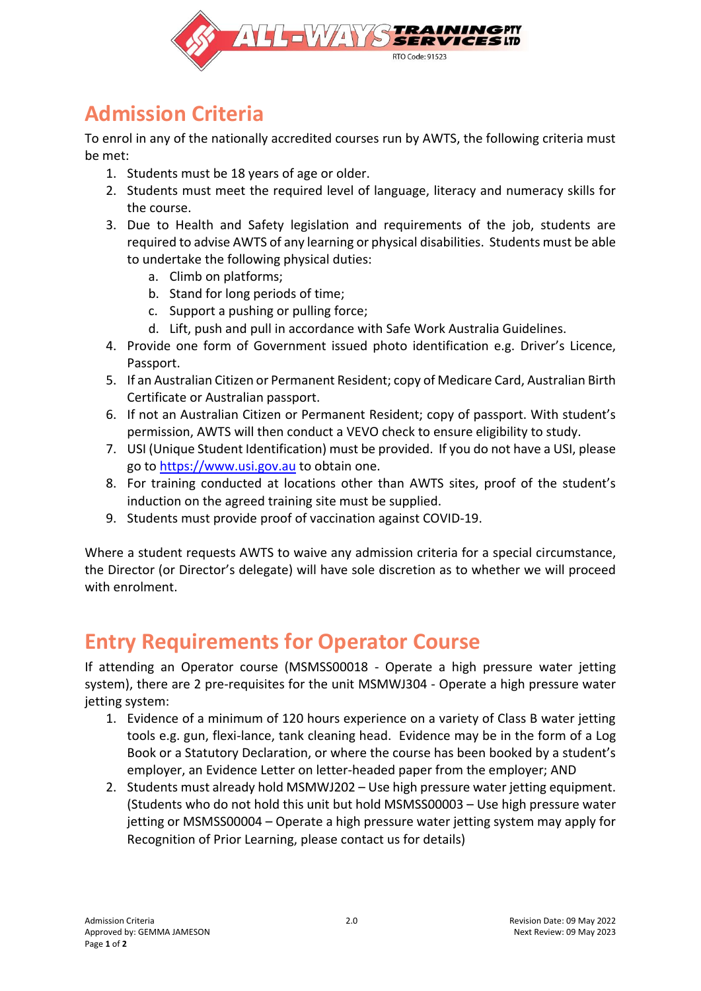

## **Admission Criteria**

To enrol in any of the nationally accredited courses run by AWTS, the following criteria must be met:

- 1. Students must be 18 years of age or older.
- 2. Students must meet the required level of language, literacy and numeracy skills for the course.
- 3. Due to Health and Safety legislation and requirements of the job, students are required to advise AWTS of any learning or physical disabilities. Students must be able to undertake the following physical duties:
	- a. Climb on platforms;
	- b. Stand for long periods of time;
	- c. Support a pushing or pulling force;
	- d. Lift, push and pull in accordance with Safe Work Australia Guidelines.
- 4. Provide one form of Government issued photo identification e.g. Driver's Licence, Passport.
- 5. If an Australian Citizen or Permanent Resident; copy of Medicare Card, Australian Birth Certificate or Australian passport.
- 6. If not an Australian Citizen or Permanent Resident; copy of passport. With student's permission, AWTS will then conduct a VEVO check to ensure eligibility to study.
- 7. USI (Unique Student Identification) must be provided. If you do not have a USI, please go to [https://www.usi.gov.au](https://www.usi.gov.au/) to obtain one.
- 8. For training conducted at locations other than AWTS sites, proof of the student's induction on the agreed training site must be supplied.
- 9. Students must provide proof of vaccination against COVID-19.

Where a student requests AWTS to waive any admission criteria for a special circumstance, the Director (or Director's delegate) will have sole discretion as to whether we will proceed with enrolment.

## **Entry Requirements for Operator Course**

If attending an Operator course (MSMSS00018 - Operate a high pressure water jetting system), there are 2 pre-requisites for the unit MSMWJ304 - Operate a high pressure water jetting system:

- 1. Evidence of a minimum of 120 hours experience on a variety of Class B water jetting tools e.g. gun, flexi-lance, tank cleaning head. Evidence may be in the form of a Log Book or a Statutory Declaration, or where the course has been booked by a student's employer, an Evidence Letter on letter-headed paper from the employer; AND
- 2. Students must already hold MSMWJ202 Use high pressure water jetting equipment. (Students who do not hold this unit but hold MSMSS00003 – Use high pressure water jetting or MSMSS00004 – Operate a high pressure water jetting system may apply for Recognition of Prior Learning, please contact us for details)